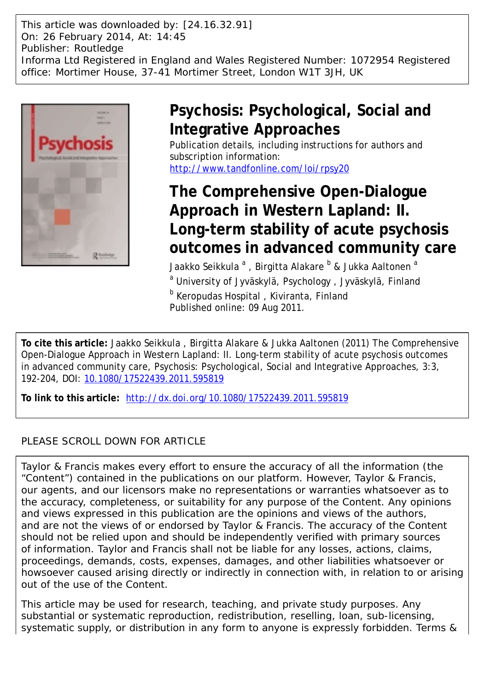This article was downloaded by: [24.16.32.91] On: 26 February 2014, At: 14:45 Publisher: Routledge Informa Ltd Registered in England and Wales Registered Number: 1072954 Registered office: Mortimer House, 37-41 Mortimer Street, London W1T 3JH, UK



# **Psychosis: Psychological, Social and Integrative Approaches**

Publication details, including instructions for authors and subscription information: <http://www.tandfonline.com/loi/rpsy20>

# **The Comprehensive Open-Dialogue Approach in Western Lapland: II. Long-term stability of acute psychosis outcomes in advanced community care**

Jaakko Seikkula <sup>a</sup> , Birgitta Alakare <sup>b</sup> & Jukka Aaltonen <sup>a</sup> <sup>a</sup> University of Jyväskylä, Psychology, Jyväskylä, Finland <sup>b</sup> Keropudas Hospital, Kiviranta, Finland Published online: 09 Aug 2011.

**To cite this article:** Jaakko Seikkula , Birgitta Alakare & Jukka Aaltonen (2011) The Comprehensive Open-Dialogue Approach in Western Lapland: II. Long-term stability of acute psychosis outcomes in advanced community care, Psychosis: Psychological, Social and Integrative Approaches, 3:3, 192-204, DOI: [10.1080/17522439.2011.595819](http://www.tandfonline.com/action/showCitFormats?doi=10.1080/17522439.2011.595819)

**To link to this article:** <http://dx.doi.org/10.1080/17522439.2011.595819>

# PLEASE SCROLL DOWN FOR ARTICLE

Taylor & Francis makes every effort to ensure the accuracy of all the information (the "Content") contained in the publications on our platform. However, Taylor & Francis, our agents, and our licensors make no representations or warranties whatsoever as to the accuracy, completeness, or suitability for any purpose of the Content. Any opinions and views expressed in this publication are the opinions and views of the authors, and are not the views of or endorsed by Taylor & Francis. The accuracy of the Content should not be relied upon and should be independently verified with primary sources of information. Taylor and Francis shall not be liable for any losses, actions, claims, proceedings, demands, costs, expenses, damages, and other liabilities whatsoever or howsoever caused arising directly or indirectly in connection with, in relation to or arising out of the use of the Content.

This article may be used for research, teaching, and private study purposes. Any substantial or systematic reproduction, redistribution, reselling, loan, sub-licensing, systematic supply, or distribution in any form to anyone is expressly forbidden. Terms &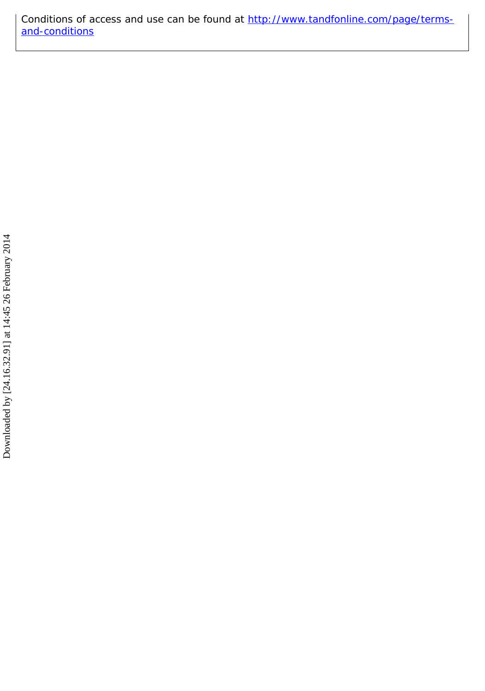Conditions of access and use can be found at [http://www.tandfonline.com/page/terms](http://www.tandfonline.com/page/terms-and-conditions)[and-conditions](http://www.tandfonline.com/page/terms-and-conditions)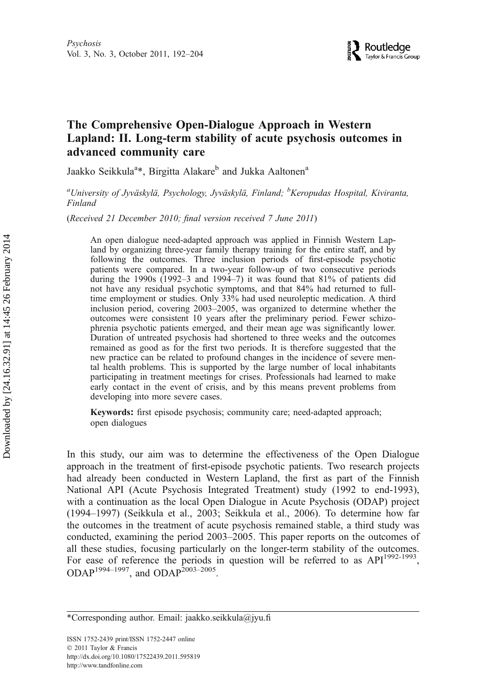# The Comprehensive Open-Dialogue Approach in Western Lapland: II. Long-term stability of acute psychosis outcomes in advanced community care

Jaakko Seikkula<sup>a</sup>\*, Birgitta Alakare<sup>b</sup> and Jukka Aaltonen<sup>a</sup>

<sup>a</sup>University of Jyväskylä, Psychology, Jyväskylä, Finland; <sup>b</sup>Keropudas Hospital, Kiviranta, Finland

(Received 21 December 2010; final version received 7 June 2011)

An open dialogue need-adapted approach was applied in Finnish Western Lapland by organizing three-year family therapy training for the entire staff, and by following the outcomes. Three inclusion periods of first-episode psychotic patients were compared. In a two-year follow-up of two consecutive periods during the 1990s (1992–3 and 1994–7) it was found that 81% of patients did not have any residual psychotic symptoms, and that 84% had returned to fulltime employment or studies. Only 33% had used neuroleptic medication. A third inclusion period, covering 2003–2005, was organized to determine whether the outcomes were consistent 10 years after the preliminary period. Fewer schizophrenia psychotic patients emerged, and their mean age was significantly lower. Duration of untreated psychosis had shortened to three weeks and the outcomes remained as good as for the first two periods. It is therefore suggested that the new practice can be related to profound changes in the incidence of severe mental health problems. This is supported by the large number of local inhabitants participating in treatment meetings for crises. Professionals had learned to make early contact in the event of crisis, and by this means prevent problems from developing into more severe cases.

Keywords: first episode psychosis; community care; need-adapted approach; open dialogues

In this study, our aim was to determine the effectiveness of the Open Dialogue approach in the treatment of first-episode psychotic patients. Two research projects had already been conducted in Western Lapland, the first as part of the Finnish National API (Acute Psychosis Integrated Treatment) study (1992 to end-1993), with a continuation as the local Open Dialogue in Acute Psychosis (ODAP) project (1994–1997) (Seikkula et al., 2003; Seikkula et al., 2006). To determine how far the outcomes in the treatment of acute psychosis remained stable, a third study was conducted, examining the period 2003–2005. This paper reports on the outcomes of all these studies, focusing particularly on the longer-term stability of the outcomes. For ease of reference the periods in question will be referred to as API<sup>1992-1993</sup>. ODAP<sup>1994–1997</sup>, and ODAP<sup>2003–2005</sup>.

<sup>\*</sup>Corresponding author. Email: jaakko.seikkula@jyu.fi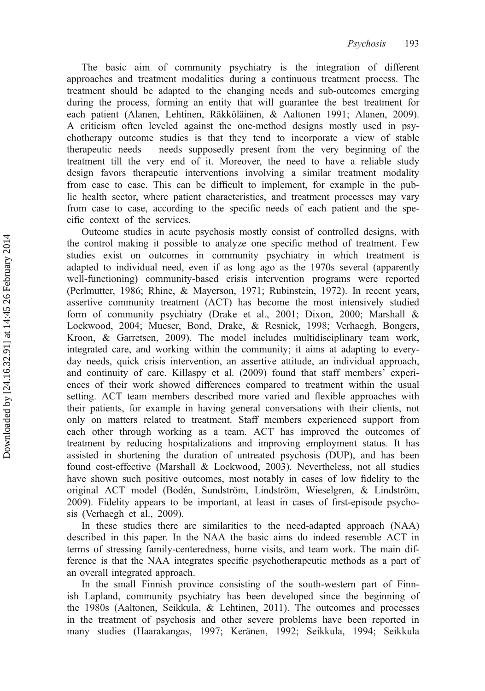The basic aim of community psychiatry is the integration of different approaches and treatment modalities during a continuous treatment process. The treatment should be adapted to the changing needs and sub-outcomes emerging during the process, forming an entity that will guarantee the best treatment for each patient (Alanen, Lehtinen, Räkköläinen, & Aaltonen 1991; Alanen, 2009). A criticism often leveled against the one-method designs mostly used in psychotherapy outcome studies is that they tend to incorporate a view of stable therapeutic needs – needs supposedly present from the very beginning of the treatment till the very end of it. Moreover, the need to have a reliable study design favors therapeutic interventions involving a similar treatment modality from case to case. This can be difficult to implement, for example in the public health sector, where patient characteristics, and treatment processes may vary from case to case, according to the specific needs of each patient and the specific context of the services.

Outcome studies in acute psychosis mostly consist of controlled designs, with the control making it possible to analyze one specific method of treatment. Few studies exist on outcomes in community psychiatry in which treatment is adapted to individual need, even if as long ago as the 1970s several (apparently well-functioning) community-based crisis intervention programs were reported (Perlmutter, 1986; Rhine, & Mayerson, 1971; Rubinstein, 1972). In recent years, assertive community treatment (ACT) has become the most intensively studied form of community psychiatry (Drake et al., 2001; Dixon, 2000; Marshall & Lockwood, 2004; Mueser, Bond, Drake, & Resnick, 1998; Verhaegh, Bongers, Kroon, & Garretsen, 2009). The model includes multidisciplinary team work, integrated care, and working within the community; it aims at adapting to everyday needs, quick crisis intervention, an assertive attitude, an individual approach, and continuity of care. Killaspy et al. (2009) found that staff members' experiences of their work showed differences compared to treatment within the usual setting. ACT team members described more varied and flexible approaches with their patients, for example in having general conversations with their clients, not only on matters related to treatment. Staff members experienced support from each other through working as a team. ACT has improved the outcomes of treatment by reducing hospitalizations and improving employment status. It has assisted in shortening the duration of untreated psychosis (DUP), and has been found cost-effective (Marshall & Lockwood, 2003). Nevertheless, not all studies have shown such positive outcomes, most notably in cases of low fidelity to the original ACT model (Bodén, Sundström, Lindström, Wieselgren, & Lindström, 2009). Fidelity appears to be important, at least in cases of first-episode psychosis (Verhaegh et al., 2009).

In these studies there are similarities to the need-adapted approach (NAA) described in this paper. In the NAA the basic aims do indeed resemble ACT in terms of stressing family-centeredness, home visits, and team work. The main difference is that the NAA integrates specific psychotherapeutic methods as a part of an overall integrated approach.

In the small Finnish province consisting of the south-western part of Finnish Lapland, community psychiatry has been developed since the beginning of the 1980s (Aaltonen, Seikkula, & Lehtinen, 2011). The outcomes and processes in the treatment of psychosis and other severe problems have been reported in many studies (Haarakangas, 1997; Keränen, 1992; Seikkula, 1994; Seikkula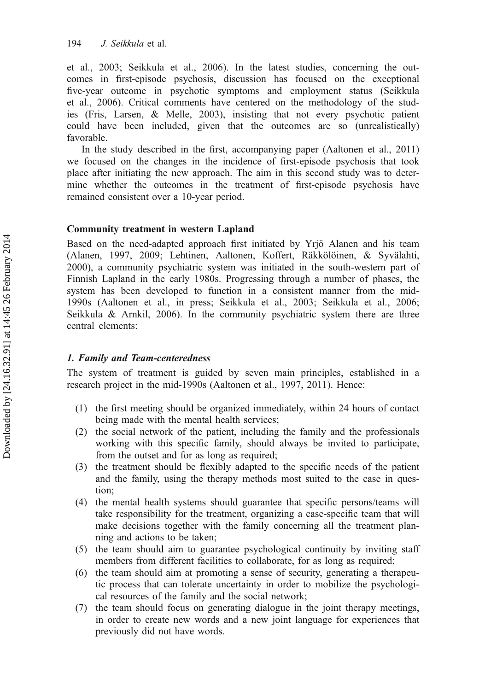et al., 2003; Seikkula et al., 2006). In the latest studies, concerning the outcomes in first-episode psychosis, discussion has focused on the exceptional five-year outcome in psychotic symptoms and employment status (Seikkula et al., 2006). Critical comments have centered on the methodology of the studies (Fris, Larsen, & Melle, 2003), insisting that not every psychotic patient could have been included, given that the outcomes are so (unrealistically) favorable.

In the study described in the first, accompanying paper (Aaltonen et al., 2011) we focused on the changes in the incidence of first-episode psychosis that took place after initiating the new approach. The aim in this second study was to determine whether the outcomes in the treatment of first-episode psychosis have remained consistent over a 10-year period.

#### Community treatment in western Lapland

Based on the need-adapted approach first initiated by Yrjö Alanen and his team (Alanen, 1997, 2009; Lehtinen, Aaltonen, Koffert, Räkkölöinen, & Syvälahti, 2000), a community psychiatric system was initiated in the south-western part of Finnish Lapland in the early 1980s. Progressing through a number of phases, the system has been developed to function in a consistent manner from the mid-1990s (Aaltonen et al., in press; Seikkula et al., 2003; Seikkula et al., 2006; Seikkula & Arnkil, 2006). In the community psychiatric system there are three central elements:

## 1. Family and Team-centeredness

The system of treatment is guided by seven main principles, established in a research project in the mid-1990s (Aaltonen et al., 1997, 2011). Hence:

- (1) the first meeting should be organized immediately, within 24 hours of contact being made with the mental health services;
- (2) the social network of the patient, including the family and the professionals working with this specific family, should always be invited to participate, from the outset and for as long as required;
- (3) the treatment should be flexibly adapted to the specific needs of the patient and the family, using the therapy methods most suited to the case in question;
- (4) the mental health systems should guarantee that specific persons/teams will take responsibility for the treatment, organizing a case-specific team that will make decisions together with the family concerning all the treatment planning and actions to be taken;
- (5) the team should aim to guarantee psychological continuity by inviting staff members from different facilities to collaborate, for as long as required;
- (6) the team should aim at promoting a sense of security, generating a therapeutic process that can tolerate uncertainty in order to mobilize the psychological resources of the family and the social network;
- (7) the team should focus on generating dialogue in the joint therapy meetings, in order to create new words and a new joint language for experiences that previously did not have words.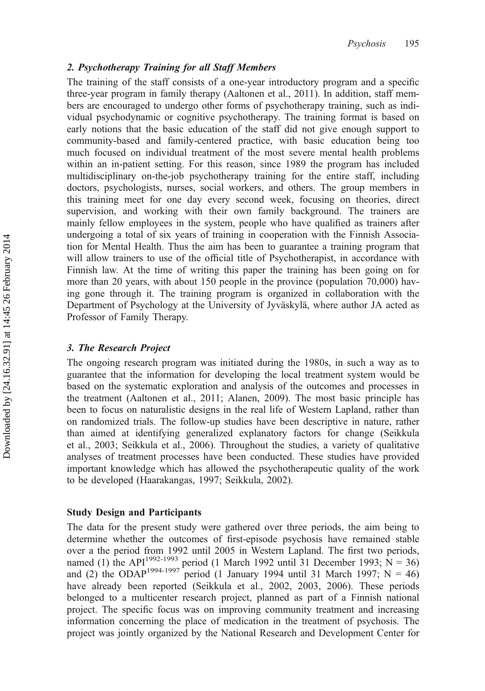### 2. Psychotherapy Training for all Staff Members

The training of the staff consists of a one-year introductory program and a specific three-year program in family therapy (Aaltonen et al., 2011). In addition, staff members are encouraged to undergo other forms of psychotherapy training, such as individual psychodynamic or cognitive psychotherapy. The training format is based on early notions that the basic education of the staff did not give enough support to community-based and family-centered practice, with basic education being too much focused on individual treatment of the most severe mental health problems within an in-patient setting. For this reason, since 1989 the program has included multidisciplinary on-the-job psychotherapy training for the entire staff, including doctors, psychologists, nurses, social workers, and others. The group members in this training meet for one day every second week, focusing on theories, direct supervision, and working with their own family background. The trainers are mainly fellow employees in the system, people who have qualified as trainers after undergoing a total of six years of training in cooperation with the Finnish Association for Mental Health. Thus the aim has been to guarantee a training program that will allow trainers to use of the official title of Psychotherapist, in accordance with Finnish law. At the time of writing this paper the training has been going on for more than 20 years, with about 150 people in the province (population 70,000) having gone through it. The training program is organized in collaboration with the Department of Psychology at the University of Jyväskylä, where author JA acted as Professor of Family Therapy.

## 3. The Research Project

The ongoing research program was initiated during the 1980s, in such a way as to guarantee that the information for developing the local treatment system would be based on the systematic exploration and analysis of the outcomes and processes in the treatment (Aaltonen et al., 2011; Alanen, 2009). The most basic principle has been to focus on naturalistic designs in the real life of Western Lapland, rather than on randomized trials. The follow-up studies have been descriptive in nature, rather than aimed at identifying generalized explanatory factors for change (Seikkula et al., 2003; Seikkula et al., 2006). Throughout the studies, a variety of qualitative analyses of treatment processes have been conducted. These studies have provided important knowledge which has allowed the psychotherapeutic quality of the work to be developed (Haarakangas, 1997; Seikkula, 2002).

## Study Design and Participants

The data for the present study were gathered over three periods, the aim being to determine whether the outcomes of first-episode psychosis have remained stable over a the period from 1992 until 2005 in Western Lapland. The first two periods, named (1) the API<sup>1992-1993</sup> period (1 March 1992 until 31 December 1993;  $N = 36$ ) and (2) the ODAP<sup>1994-1997</sup> period (1 January 1994 until 31 March 1997; N = 46) have already been reported (Seikkula et al., 2002, 2003, 2006). These periods belonged to a multicenter research project, planned as part of a Finnish national project. The specific focus was on improving community treatment and increasing information concerning the place of medication in the treatment of psychosis. The project was jointly organized by the National Research and Development Center for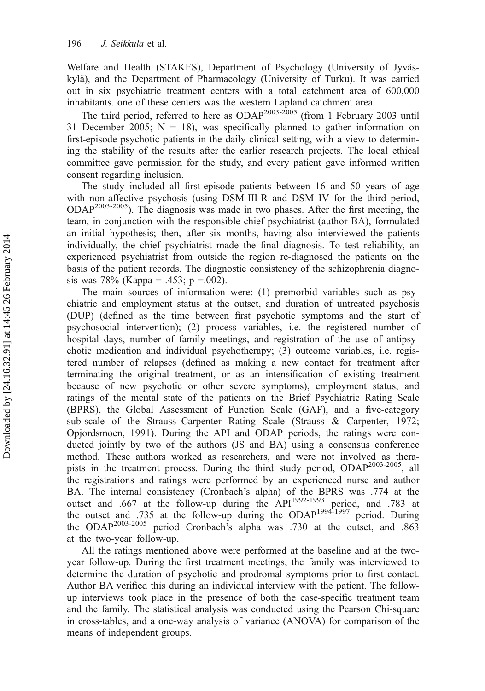Welfare and Health (STAKES), Department of Psychology (University of Jyväskylä), and the Department of Pharmacology (University of Turku). It was carried out in six psychiatric treatment centers with a total catchment area of 600,000 inhabitants. one of these centers was the western Lapland catchment area.

The third period, referred to here as  $ODAP^{2003-2005}$  (from 1 February 2003 until 31 December 2005;  $N = 18$ ), was specifically planned to gather information on first-episode psychotic patients in the daily clinical setting, with a view to determining the stability of the results after the earlier research projects. The local ethical committee gave permission for the study, and every patient gave informed written consent regarding inclusion.

The study included all first-episode patients between 16 and 50 years of age with non-affective psychosis (using DSM-III-R and DSM IV for the third period, ODAP2003-2005). The diagnosis was made in two phases. After the first meeting, the team, in conjunction with the responsible chief psychiatrist (author BA), formulated an initial hypothesis; then, after six months, having also interviewed the patients individually, the chief psychiatrist made the final diagnosis. To test reliability, an experienced psychiatrist from outside the region re-diagnosed the patients on the basis of the patient records. The diagnostic consistency of the schizophrenia diagnosis was 78% (Kappa = .453; p = .002).

The main sources of information were: (1) premorbid variables such as psychiatric and employment status at the outset, and duration of untreated psychosis (DUP) (defined as the time between first psychotic symptoms and the start of psychosocial intervention); (2) process variables, i.e. the registered number of hospital days, number of family meetings, and registration of the use of antipsychotic medication and individual psychotherapy; (3) outcome variables, i.e. registered number of relapses (defined as making a new contact for treatment after terminating the original treatment, or as an intensification of existing treatment because of new psychotic or other severe symptoms), employment status, and ratings of the mental state of the patients on the Brief Psychiatric Rating Scale (BPRS), the Global Assessment of Function Scale (GAF), and a five-category sub-scale of the Strauss–Carpenter Rating Scale (Strauss & Carpenter, 1972; Opjordsmoen, 1991). During the API and ODAP periods, the ratings were conducted jointly by two of the authors (JS and BA) using a consensus conference method. These authors worked as researchers, and were not involved as therapists in the treatment process. During the third study period, ODAP<sup>2003-2005</sup>, all the registrations and ratings were performed by an experienced nurse and author BA. The internal consistency (Cronbach's alpha) of the BPRS was .774 at the outset and .667 at the follow-up during the  $API^{1992-1993}$  period, and .783 at the outset and .735 at the follow-up during the ODAP<sup>1994-1997</sup> period. During the ODAP2003-2005 period Cronbach's alpha was .730 at the outset, and .863 at the two-year follow-up.

All the ratings mentioned above were performed at the baseline and at the twoyear follow-up. During the first treatment meetings, the family was interviewed to determine the duration of psychotic and prodromal symptoms prior to first contact. Author BA verified this during an individual interview with the patient. The followup interviews took place in the presence of both the case-specific treatment team and the family. The statistical analysis was conducted using the Pearson Chi-square in cross-tables, and a one-way analysis of variance (ANOVA) for comparison of the means of independent groups.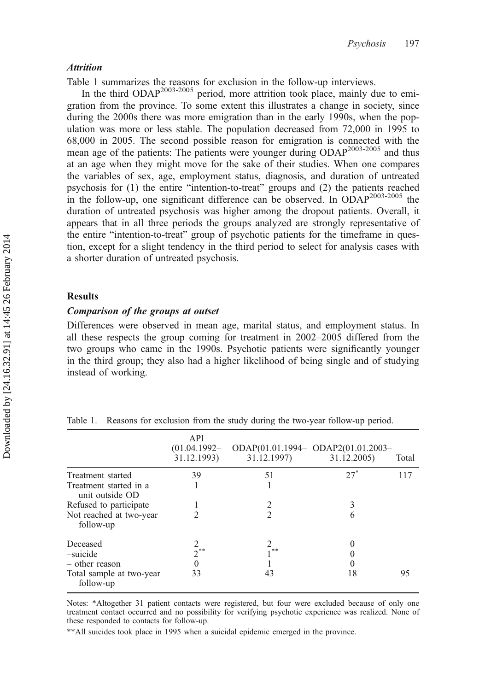#### **Attrition**

Table 1 summarizes the reasons for exclusion in the follow-up interviews.

In the third  $ODAP^{2003-2005}$  period, more attrition took place, mainly due to emigration from the province. To some extent this illustrates a change in society, since during the 2000s there was more emigration than in the early 1990s, when the population was more or less stable. The population decreased from 72,000 in 1995 to 68,000 in 2005. The second possible reason for emigration is connected with the mean age of the patients: The patients were younger during ODAP2003-2005 and thus at an age when they might move for the sake of their studies. When one compares the variables of sex, age, employment status, diagnosis, and duration of untreated psychosis for (1) the entire "intention-to-treat" groups and (2) the patients reached in the follow-up, one significant difference can be observed. In ODAP<sup>2003-2005</sup> the duration of untreated psychosis was higher among the dropout patients. Overall, it appears that in all three periods the groups analyzed are strongly representative of the entire "intention-to-treat" group of psychotic patients for the timeframe in question, except for a slight tendency in the third period to select for analysis cases with a shorter duration of untreated psychosis.

#### Results

### Comparison of the groups at outset

Differences were observed in mean age, marital status, and employment status. In all these respects the group coming for treatment in 2002–2005 differed from the two groups who came in the 1990s. Psychotic patients were significantly younger in the third group; they also had a higher likelihood of being single and of studying instead of working.

|                                           | API<br>$(01.04.1992 -$<br>31.12.1993) | 31.12.1997)                   | ODAP(01.01.1994 - ODAP2(01.01.2003 -<br>31.12.2005) | Total |
|-------------------------------------------|---------------------------------------|-------------------------------|-----------------------------------------------------|-------|
| Treatment started                         | 39                                    | 51                            | $27^*$                                              | 117   |
| Treatment started in a<br>unit outside OD |                                       |                               |                                                     |       |
| Refused to participate                    |                                       |                               |                                                     |       |
| Not reached at two-year<br>follow-up      | 2                                     | $\mathfrak{D}_{\mathfrak{p}}$ | 6                                                   |       |
| Deceased                                  |                                       | .**                           |                                                     |       |
| -suicide                                  | $\bar{2}^{**}$                        |                               |                                                     |       |
| - other reason                            | 0                                     |                               |                                                     |       |
| Total sample at two-year<br>follow-up     | 33                                    | 43                            | 18                                                  | 95    |

Table 1. Reasons for exclusion from the study during the two-year follow-up period.

Notes: \*Altogether 31 patient contacts were registered, but four were excluded because of only one treatment contact occurred and no possibility for verifying psychotic experience was realized. None of these responded to contacts for follow-up.

\*\*All suicides took place in 1995 when a suicidal epidemic emerged in the province.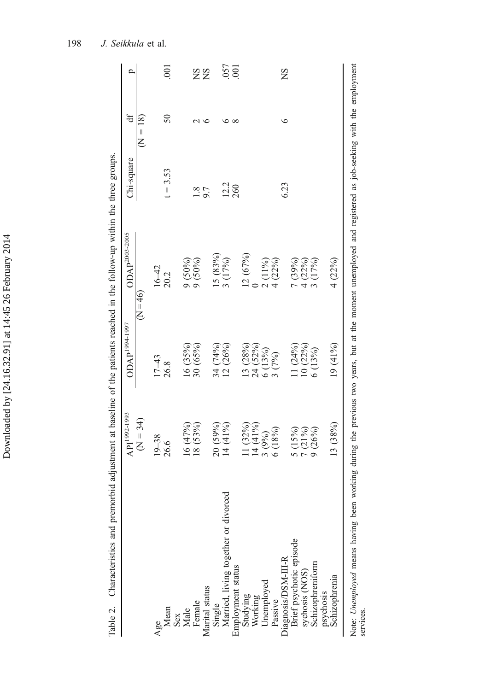|                                                                                      | API <sup>1992-1993</sup> | ODAP <sup>1994-1997</sup> | ODAP <sup>2003-2005</sup> | Chi-square      | £          | p                |
|--------------------------------------------------------------------------------------|--------------------------|---------------------------|---------------------------|-----------------|------------|------------------|
|                                                                                      | $(N = 34)$               |                           | $(N=46)$                  |                 | $(N = 18)$ |                  |
|                                                                                      | $19 - 38$                | $17 - 43$                 | $16 - 42$                 |                 |            |                  |
| $\frac{\text{Age}}{\text{Mean}}$<br>Sex<br>Male<br>Female                            | 26.6                     | 26.8                      | 20.2                      | $t = 3.53$      | 50         | $\overline{001}$ |
|                                                                                      |                          |                           |                           |                 |            |                  |
|                                                                                      | 16(47%                   | 16(35%)                   | $(60\%)$                  |                 |            |                  |
|                                                                                      | 18 (53%)                 | 30 (65%)                  | 9(50%)                    |                 |            |                  |
| Marital status                                                                       |                          |                           |                           | $\frac{8}{9.7}$ |            | <b>SS</b>        |
|                                                                                      | 20 (59%)                 | 34 (74%)                  | 15(83%)                   |                 |            |                  |
| Single<br>Married, living together or divorced                                       | 14(41%)                  | (26%)<br>$\frac{1}{2}$    | 3(17%)                    | 12,2<br>260     | ≌          | .057             |
|                                                                                      |                          |                           |                           |                 | $\infty$   | $\overline{001}$ |
|                                                                                      | 11(32%)                  | 13(28%)                   | 12(67%)                   |                 |            |                  |
| Employment status<br>Studying<br>Working<br>Unemployed                               | 14(41%                   | 24 (52%)                  |                           |                 |            |                  |
|                                                                                      | 3(9%)                    | 6(13%)                    | (11%)                     |                 |            |                  |
| Passive                                                                              | (18%)                    | 3(7%)                     | (22%)                     |                 |            |                  |
|                                                                                      |                          |                           |                           | 6.23            | G          | SN               |
|                                                                                      | (15%)                    | 11(24%                    | (39%)                     |                 |            |                  |
|                                                                                      | 7(21%)                   | 10(22%)                   | (22%)                     |                 |            |                  |
| Diagnosis/DSM-III-R<br>Brief psychotic episode<br>sychosis (NOS)<br>Schizophreniform | 9(26%)                   | 6(13%)                    | (17%)                     |                 |            |                  |
|                                                                                      |                          |                           |                           |                 |            |                  |
| psychosis<br>Schizophrenia                                                           | 13 (38%)                 | 19 (41%)                  | 4(22%)                    |                 |            |                  |

Downloaded by [24.16.32.91] at 14:45 26 February 2014 Downloaded by [24.16.32.91] at 14:45 26 February 2014

# 198 J. Seikkula et al.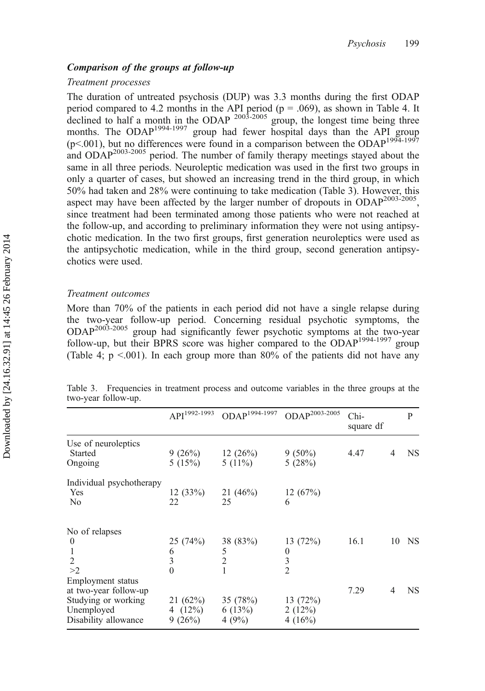# Comparison of the groups at follow-up

#### Treatment processes

The duration of untreated psychosis (DUP) was 3.3 months during the first ODAP period compared to 4.2 months in the API period ( $p = .069$ ), as shown in Table 4. It declined to half a month in the ODAP  $200\overline{3}$ -2005 group, the longest time being three months. The ODAP<sup>1994-1997</sup> group had fewer hospital days than the API group (p<.001), but no differences were found in a comparison between the ODAP1994-1997 and ODAP2003-2005 period. The number of family therapy meetings stayed about the same in all three periods. Neuroleptic medication was used in the first two groups in only a quarter of cases, but showed an increasing trend in the third group, in which 50% had taken and 28% were continuing to take medication (Table 3). However, this aspect may have been affected by the larger number of dropouts in ODAP<sup>2003-2005</sup> since treatment had been terminated among those patients who were not reached at the follow-up, and according to preliminary information they were not using antipsychotic medication. In the two first groups, first generation neuroleptics were used as the antipsychotic medication, while in the third group, second generation antipsychotics were used.

#### Treatment outcomes

More than 70% of the patients in each period did not have a single relapse during the two-year follow-up period. Concerning residual psychotic symptoms, the ODAP2003-2005 group had significantly fewer psychotic symptoms at the two-year follow-up, but their BPRS score was higher compared to the ODAP<sup>1994-1997</sup> group (Table 4;  $p \le 0.001$ ). In each group more than 80% of the patients did not have any

|                          | $API1992-1993$ | ODAP <sup>1994-1997</sup> | $ODAP^{2003-2005}$ | Chi-<br>square df |    | P         |
|--------------------------|----------------|---------------------------|--------------------|-------------------|----|-----------|
| Use of neuroleptics      |                |                           |                    |                   |    |           |
| Started                  | 9(26%)         | 12(26%)                   | $9(50\%)$          | 4.47              | 4  | NS.       |
| Ongoing                  | 5(15%)         | $5(11\%)$                 | 5(28%)             |                   |    |           |
| Individual psychotherapy |                |                           |                    |                   |    |           |
| Yes                      | 12(33%)        | 21 $(46%)$                | 12(67%)            |                   |    |           |
| N <sub>0</sub>           | 22             | 25                        | 6                  |                   |    |           |
| No of relapses           |                |                           |                    |                   |    |           |
| $\theta$                 | 25 (74%)       | 38(83%)                   | 13 $(72%)$         | 16.1              | 10 | <b>NS</b> |
|                          | 6              | 5                         | $\mathbf{0}$       |                   |    |           |
| 2                        | 3              | 2                         | 3                  |                   |    |           |
| >2                       | $\theta$       |                           | $\overline{2}$     |                   |    |           |
| Employment status        |                |                           |                    |                   |    |           |
| at two-year follow-up    |                |                           |                    | 7.29              | 4  | <b>NS</b> |
| Studying or working      | 21(62%)        | 35 (78%)                  | 13 (72%)           |                   |    |           |
| Unemployed               | 4 $(12\%)$     | 6(13%)                    | 2(12%)             |                   |    |           |
| Disability allowance     | 9(26%)         | 4(9%)                     | 4(16%)             |                   |    |           |

Table 3. Frequencies in treatment process and outcome variables in the three groups at the two-year follow-up.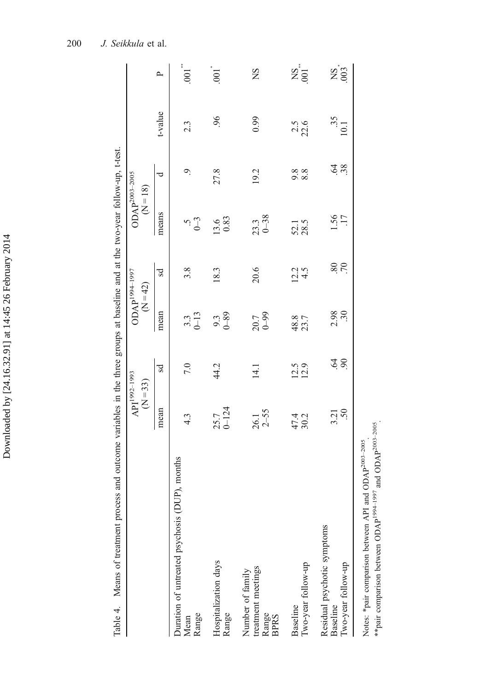|                                   | Table 4. Means of treatment process and outcome variables in the three groups at baseline and at the two-year follow-up, t-test. |                                 |                  |                                         |                    |                                  |                |                   |                  |
|-----------------------------------|----------------------------------------------------------------------------------------------------------------------------------|---------------------------------|------------------|-----------------------------------------|--------------------|----------------------------------|----------------|-------------------|------------------|
|                                   |                                                                                                                                  | $API^{1992-1993}$<br>$(N = 33)$ |                  | ODAP <sup>1994-1997</sup><br>$(N = 42)$ |                    | $ODAP^{2003-2005}$<br>$(N = 18)$ |                |                   |                  |
|                                   |                                                                                                                                  | mean                            | sd               | mean                                    | sd                 | means                            | ರ              | t-value           | $\sim$           |
| Range<br>Mean                     | Duration of untreated psychosis (DUP), months                                                                                    | $4.\overline{3}$                | 7.0              | $3.3$<br>0-13                           | 3.8                | ى.<br>م                          | Q              | 2.3               | $\overline{001}$ |
| Range                             | Hospitalization days                                                                                                             | $25.7$<br>0-124                 | 44.2             | $0.3$<br>0-89                           | 18.3               | 0.83<br>13.6                     | 27.8           | 96                | $\overline{001}$ |
| Number of family<br>Range<br>BPRS | treatment meetings                                                                                                               | $\frac{26.1}{2 - 55}$           | 14.1             | $20.7$<br>$0-99$                        | 20.6               | $^{23.3}_{0-38}$                 | 19.2           | 0.99              | SN               |
| Baseline                          | Two-year follow-up                                                                                                               | 47.4<br>30.2                    | $12.5$<br>$12.9$ | 48.8<br>23.7                            | $\frac{12.5}{4.5}$ | 52.1                             | 9.8<br>8.8     | 25<br>22.6        | $25^{\circ}$     |
| Baseline                          | Residual psychotic symptoms<br>Two-year follow-up                                                                                | 3.21                            | $\ddot{3}$       | 2.98<br>30                              | $rac{6}{28}$       | 1.56<br>$\overline{17}$          | $6\frac{3}{8}$ | $\frac{35}{10.1}$ | 29.00            |
|                                   |                                                                                                                                  |                                 |                  |                                         |                    |                                  |                |                   |                  |

200 J. Seikkula et al.

Notes: \*pair comparison between API and ODAP<sup>2003-2005</sup><br>\*\*pair comparison between ODAP<sup>1994-1997</sup> and ODAP<sup>2003-2005</sup>. \*\*pair comparison between ODAP<sup>1994–1997</sup> and ODAP<sup>2003</sup>-Notes: \*pair comparison between API and ODAP<sup>2003</sup>-<sup>2005</sup>.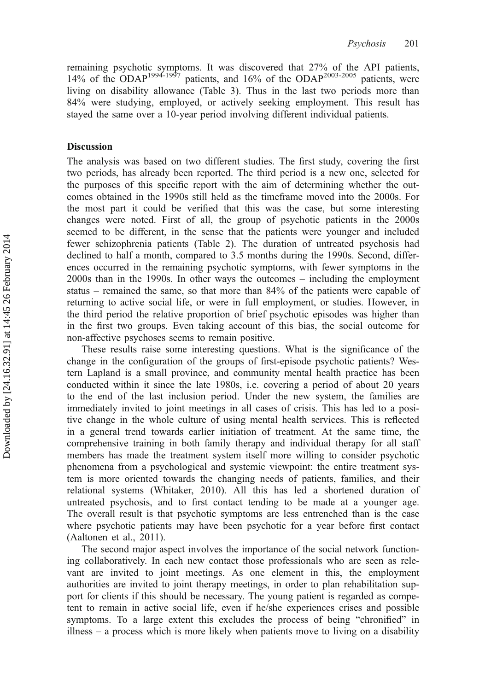remaining psychotic symptoms. It was discovered that 27% of the API patients, 14% of the ODAP<sup>1994-1997</sup> patients, and 16% of the ODAP<sup>2003-2005</sup> patients, were living on disability allowance (Table 3). Thus in the last two periods more than 84% were studying, employed, or actively seeking employment. This result has stayed the same over a 10-year period involving different individual patients.

#### **Discussion**

The analysis was based on two different studies. The first study, covering the first two periods, has already been reported. The third period is a new one, selected for the purposes of this specific report with the aim of determining whether the outcomes obtained in the 1990s still held as the timeframe moved into the 2000s. For the most part it could be verified that this was the case, but some interesting changes were noted. First of all, the group of psychotic patients in the 2000s seemed to be different, in the sense that the patients were younger and included fewer schizophrenia patients (Table 2). The duration of untreated psychosis had declined to half a month, compared to 3.5 months during the 1990s. Second, differences occurred in the remaining psychotic symptoms, with fewer symptoms in the 2000s than in the 1990s. In other ways the outcomes – including the employment status – remained the same, so that more than 84% of the patients were capable of returning to active social life, or were in full employment, or studies. However, in the third period the relative proportion of brief psychotic episodes was higher than in the first two groups. Even taking account of this bias, the social outcome for non-affective psychoses seems to remain positive.

These results raise some interesting questions. What is the significance of the change in the configuration of the groups of first-episode psychotic patients? Western Lapland is a small province, and community mental health practice has been conducted within it since the late 1980s, i.e. covering a period of about 20 years to the end of the last inclusion period. Under the new system, the families are immediately invited to joint meetings in all cases of crisis. This has led to a positive change in the whole culture of using mental health services. This is reflected in a general trend towards earlier initiation of treatment. At the same time, the comprehensive training in both family therapy and individual therapy for all staff members has made the treatment system itself more willing to consider psychotic phenomena from a psychological and systemic viewpoint: the entire treatment system is more oriented towards the changing needs of patients, families, and their relational systems (Whitaker, 2010). All this has led a shortened duration of untreated psychosis, and to first contact tending to be made at a younger age. The overall result is that psychotic symptoms are less entrenched than is the case where psychotic patients may have been psychotic for a year before first contact (Aaltonen et al., 2011).

The second major aspect involves the importance of the social network functioning collaboratively. In each new contact those professionals who are seen as relevant are invited to joint meetings. As one element in this, the employment authorities are invited to joint therapy meetings, in order to plan rehabilitation support for clients if this should be necessary. The young patient is regarded as competent to remain in active social life, even if he/she experiences crises and possible symptoms. To a large extent this excludes the process of being "chronified" in illness – a process which is more likely when patients move to living on a disability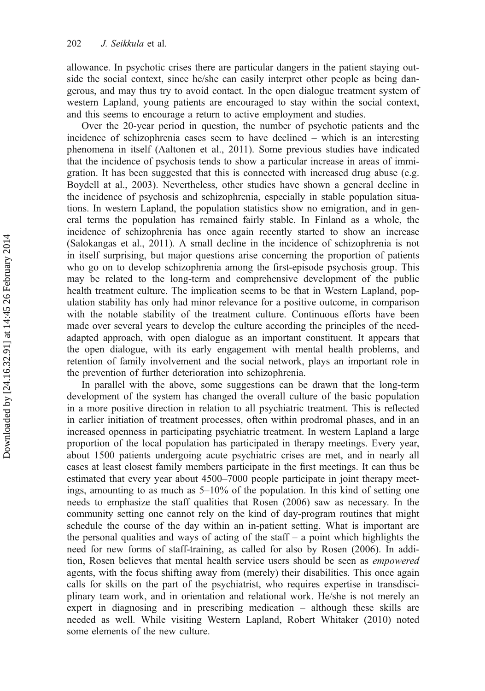allowance. In psychotic crises there are particular dangers in the patient staying outside the social context, since he/she can easily interpret other people as being dangerous, and may thus try to avoid contact. In the open dialogue treatment system of western Lapland, young patients are encouraged to stay within the social context, and this seems to encourage a return to active employment and studies.

Over the 20-year period in question, the number of psychotic patients and the incidence of schizophrenia cases seem to have declined – which is an interesting phenomena in itself (Aaltonen et al., 2011). Some previous studies have indicated that the incidence of psychosis tends to show a particular increase in areas of immigration. It has been suggested that this is connected with increased drug abuse (e.g. Boydell at al., 2003). Nevertheless, other studies have shown a general decline in the incidence of psychosis and schizophrenia, especially in stable population situations. In western Lapland, the population statistics show no emigration, and in general terms the population has remained fairly stable. In Finland as a whole, the incidence of schizophrenia has once again recently started to show an increase (Salokangas et al., 2011). A small decline in the incidence of schizophrenia is not in itself surprising, but major questions arise concerning the proportion of patients who go on to develop schizophrenia among the first-episode psychosis group. This may be related to the long-term and comprehensive development of the public health treatment culture. The implication seems to be that in Western Lapland, population stability has only had minor relevance for a positive outcome, in comparison with the notable stability of the treatment culture. Continuous efforts have been made over several years to develop the culture according the principles of the needadapted approach, with open dialogue as an important constituent. It appears that the open dialogue, with its early engagement with mental health problems, and retention of family involvement and the social network, plays an important role in the prevention of further deterioration into schizophrenia.

In parallel with the above, some suggestions can be drawn that the long-term development of the system has changed the overall culture of the basic population in a more positive direction in relation to all psychiatric treatment. This is reflected in earlier initiation of treatment processes, often within prodromal phases, and in an increased openness in participating psychiatric treatment. In western Lapland a large proportion of the local population has participated in therapy meetings. Every year, about 1500 patients undergoing acute psychiatric crises are met, and in nearly all cases at least closest family members participate in the first meetings. It can thus be estimated that every year about 4500–7000 people participate in joint therapy meetings, amounting to as much as 5–10% of the population. In this kind of setting one needs to emphasize the staff qualities that Rosen (2006) saw as necessary. In the community setting one cannot rely on the kind of day-program routines that might schedule the course of the day within an in-patient setting. What is important are the personal qualities and ways of acting of the staff  $-$  a point which highlights the need for new forms of staff-training, as called for also by Rosen (2006). In addition, Rosen believes that mental health service users should be seen as empowered agents, with the focus shifting away from (merely) their disabilities. This once again calls for skills on the part of the psychiatrist, who requires expertise in transdisciplinary team work, and in orientation and relational work. He/she is not merely an expert in diagnosing and in prescribing medication – although these skills are needed as well. While visiting Western Lapland, Robert Whitaker (2010) noted some elements of the new culture.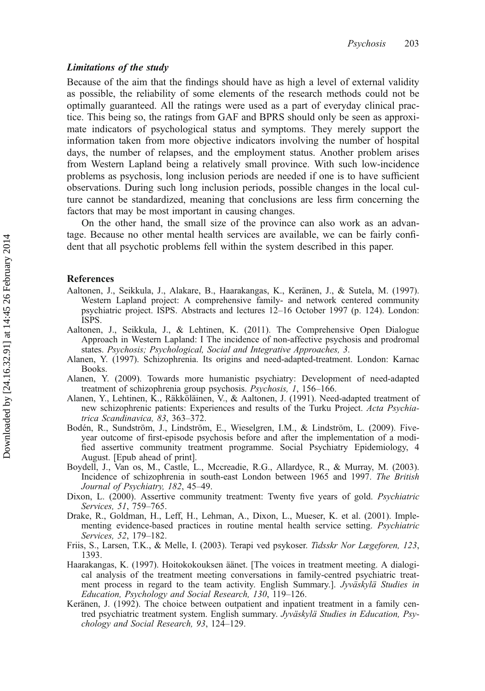#### Limitations of the study

Because of the aim that the findings should have as high a level of external validity as possible, the reliability of some elements of the research methods could not be optimally guaranteed. All the ratings were used as a part of everyday clinical practice. This being so, the ratings from GAF and BPRS should only be seen as approximate indicators of psychological status and symptoms. They merely support the information taken from more objective indicators involving the number of hospital days, the number of relapses, and the employment status. Another problem arises from Western Lapland being a relatively small province. With such low-incidence problems as psychosis, long inclusion periods are needed if one is to have sufficient observations. During such long inclusion periods, possible changes in the local culture cannot be standardized, meaning that conclusions are less firm concerning the factors that may be most important in causing changes.

On the other hand, the small size of the province can also work as an advantage. Because no other mental health services are available, we can be fairly confident that all psychotic problems fell within the system described in this paper.

#### References

- Aaltonen, J., Seikkula, J., Alakare, B., Haarakangas, K., Keränen, J., & Sutela, M. (1997). Western Lapland project: A comprehensive family- and network centered community psychiatric project. ISPS. Abstracts and lectures 12–16 October 1997 (p. 124). London: ISPS.
- Aaltonen, J., Seikkula, J., & Lehtinen, K. (2011). The Comprehensive Open Dialogue Approach in Western Lapland: I The incidence of non-affective psychosis and prodromal states. Psychosis; Psychological, Social and Integrative Approaches, 3.
- Alanen, Y. (1997). Schizophrenia. Its origins and need-adapted-treatment. London: Karnac Books.
- Alanen, Y. (2009). Towards more humanistic psychiatry: Development of need-adapted treatment of schizophrenia group psychosis. Psychosis, 1, 156–166.
- Alanen, Y., Lehtinen, K., Räkköläinen, V., & Aaltonen, J. (1991). Need-adapted treatment of new schizophrenic patients: Experiences and results of the Turku Project. Acta Psychiatrica Scandinavica, 83, 363–372.
- Bodén, R., Sundström, J., Lindström, E., Wieselgren, I.M., & Lindström, L. (2009). Fiveyear outcome of first-episode psychosis before and after the implementation of a modified assertive community treatment programme. Social Psychiatry Epidemiology, 4 August. [Epub ahead of print].
- Boydell, J., Van os, M., Castle, L., Mccreadie, R.G., Allardyce, R., & Murray, M. (2003). Incidence of schizophrenia in south-east London between 1965 and 1997. The British Journal of Psychiatry, 182, 45–49.
- Dixon, L. (2000). Assertive community treatment: Twenty five years of gold. Psychiatric Services, 51, 759–765.
- Drake, R., Goldman, H., Leff, H., Lehman, A., Dixon, L., Mueser, K. et al. (2001). Implementing evidence-based practices in routine mental health service setting. Psychiatric Services, 52, 179–182.
- Friis, S., Larsen, T.K., & Melle, I. (2003). Terapi ved psykoser. Tidsskr Nor Lægeforen, 123, 1393.
- Haarakangas, K. (1997). Hoitokokouksen äänet. [The voices in treatment meeting. A dialogical analysis of the treatment meeting conversations in family-centred psychiatric treatment process in regard to the team activity. English Summary.]. Jyväskylä Studies in Education, Psychology and Social Research, 130, 119–126.
- Keränen, J. (1992). The choice between outpatient and inpatient treatment in a family centred psychiatric treatment system. English summary. Jyväskylä Studies in Education, Psychology and Social Research, 93, 124–129.